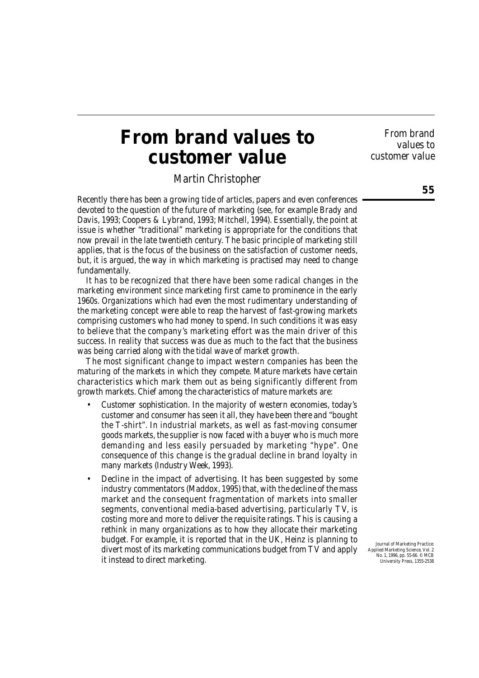# **From brand values to customer value**

From brand values to customer value

Martin Christopher

Recently there has been a growing tide of articles, papers and even conferences devoted to the question of the future of marketing (see, for example Brady and Davis, 1993; Coopers & Lybrand, 1993; Mitchell, 1994). Essentially, the point at issue is whether "traditional" marketing is appropriate for the conditions that now prevail in the late twentieth century. The basic principle of marketing still applies, that is the focus of the business on the satisfaction of customer needs, but, it is argued, the way in which marketing is practised may need to change fundamentally.

It has to be recognized that there have been some radical changes in the marketing environment since marketing first came to prominence in the early 1960s. Organizations which had even the most rudimentary understanding of the marketing concept were able to reap the harvest of fast-growing markets comprising customers who had money to spend. In such conditions it was easy to believe that the company's marketing effort was the main driver of this success. In reality that success was due as much to the fact that the business was being carried along with the tidal wave of market growth.

The most significant change to impact western companies has been the maturing of the markets in which they compete. Mature markets have certain characteristics which mark them out as being significantly different from growth markets. Chief among the characteristics of mature markets are:

- *Customer sophistication*. In the majority of western economies, today's customer and consumer has seen it all, they have been there and "bought the T-shirt". In industrial markets, as well as fast-moving consumer goods markets, the supplier is now faced with a buyer who is much more demanding and less easily persuaded by marketing "hype". One consequence of this change is the gradual decline in brand loyalty in many markets (*Industry Week*, 1993).
- *Decline in the impact of advertising*. It has been suggested by some industry commentators (Maddox, 1995) that, with the decline of the mass market and the consequent fragmentation of markets into smaller segments, conventional media-based advertising, particularly TV, is costing more and more to deliver the requisite ratings. This is causing a rethink in many organizations as to how they allocate their marketing budget. For example, it is reported that in the UK, Heinz is planning to divert most of its marketing communications budget from TV and apply it instead to direct marketing.

Journal of Marketing Practice: Applied Marketing Science, Vol. 2 No. 1, 1996, pp. 55-66. © MCB University Press, 1355-2538

**55**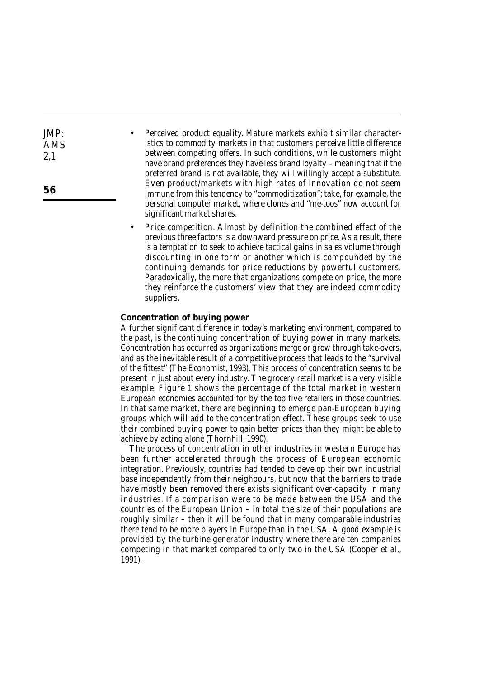- JMP: AMS • *Perceived product equality*. Mature markets exhibit similar characteristics to commodity markets in that customers perceive little difference between competing offers. In such conditions, while customers might have brand preferences they have less brand loyalty – meaning that if the preferred brand is not available, they will willingly accept a substitute. Even product/markets with high rates of innovation do not seem immune from this tendency to "commoditization"; take, for example, the personal computer market, where clones and "me-toos" now account for significant market shares.
	- *Price competition*. Almost by definition the combined effect of the previous three factors is a downward pressure on price. As a result, there is a temptation to seek to achieve tactical gains in sales volume through discounting in one form or another which is compounded by the continuing demands for price reductions by powerful customers. Paradoxically, the more that organizations compete on price, the more they reinforce the customers' view that they are indeed commodity suppliers.

# **Concentration of buying power**

A further significant difference in today's marketing environment, compared to the past, is the continuing concentration of buying power in many markets. Concentration has occurred as organizations merge or grow through take-overs, and as the inevitable result of a competitive process that leads to the "survival of the fittest" (*The Economist*, 1993). This process of concentration seems to be present in just about every industry. The grocery retail market is a very visible example. Figure 1 shows the percentage of the total market in western European economies accounted for by the top five retailers in those countries. In that same market, there are beginning to emerge pan-European buying groups which will add to the concentration effect. These groups seek to use their combined buying power to gain better prices than they might be able to achieve by acting alone (Thornhill, 1990).

The process of concentration in other industries in western Europe has been further accelerated through the process of European economic integration. Previously, countries had tended to develop their own industrial base independently from their neighbours, but now that the barriers to trade have mostly been removed there exists significant over-capacity in many industries. If a comparison were to be made between the USA and the countries of the European Union – in total the size of their populations are roughly similar – then it will be found that in many comparable industries there tend to be more players in Europe than in the USA. A good example is provided by the turbine generator industry where there are ten companies competing in that market compared to only two in the USA (Cooper *et al.*, 1991).

**56**

2,1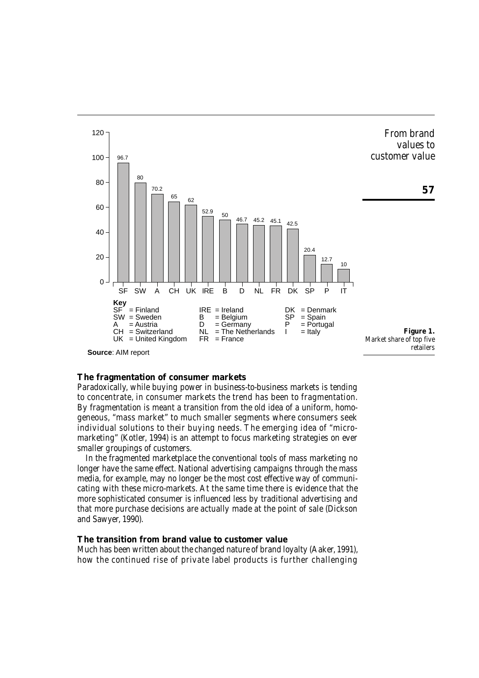

# **The fragmentation of consumer markets**

Paradoxically, while buying power in business-to-business markets is tending to concentrate, in consumer markets the trend has been to fragmentation. By fragmentation is meant a transition from the old idea of a uniform, homogeneous, "mass market" to much smaller segments where consumers seek individual solutions to their buying needs. The emerging idea of "micromarketing" (Kotler, 1994) is an attempt to focus marketing strategies on ever smaller groupings of customers.

In the fragmented marketplace the conventional tools of mass marketing no longer have the same effect. National advertising campaigns through the mass media, for example, may no longer be the most cost effective way of communicating with these micro-markets. At the same time there is evidence that the more sophisticated consumer is influenced less by traditional advertising and that more purchase decisions are actually made at the point of sale (Dickson and Sawyer, 1990).

## **The transition from brand value to customer value**

Much has been written about the changed nature of brand loyalty (Aaker, 1991), how the continued rise of private label products is further challenging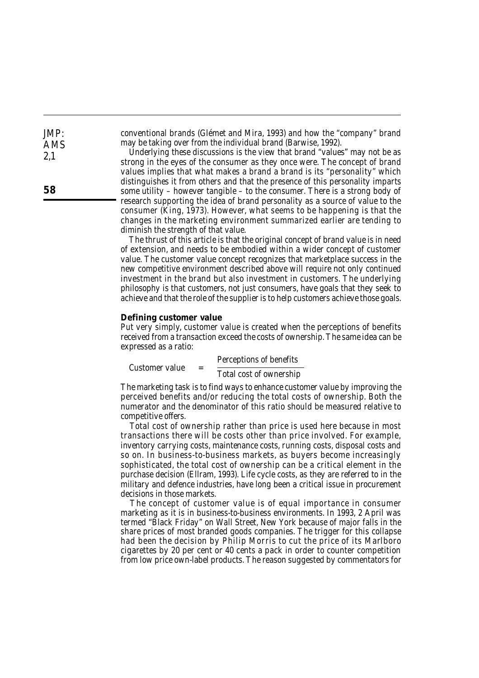conventional brands (Glémet and Mira, 1993) and how the "company" brand may be taking over from the individual brand (Barwise, 1992).

Underlying these discussions is the view that brand "values" may not be as strong in the eyes of the consumer as they once were. The concept of brand values implies that what makes a brand a brand is its "personality" which distinguishes it from others and that the presence of this personality imparts some utility – however tangible – to the consumer. There is a strong body of research supporting the idea of brand personality as a source of value to the consumer (King, 1973). However, what seems to be happening is that the changes in the marketing environment summarized earlier are tending to diminish the strength of that value.

The thrust of this article is that the original concept of brand value is in need of extension, and needs to be embodied within a wider concept of customer value. The customer value concept recognizes that marketplace success in the new competitive environment described above will require not only continued investment in the brand but also investment in customers. The underlying philosophy is that customers, not just consumers, have goals that they seek to achieve and that the role of the supplier is to help customers achieve those goals.

#### **Defining customer value**

Put very simply, customer value is created when the perceptions of benefits received from a transaction exceed the costs of ownership. The same idea can be expressed as a ratio:

Customer value  $=$  Perceptions of benefits Total cost of ownership

The marketing task is to find ways to enhance customer value by improving the perceived benefits and/or reducing the total costs of ownership. Both the numerator and the denominator of this ratio should be measured relative to competitive offers.

Total cost of ownership rather than price is used here because in most transactions there will be costs other than price involved. For example, inventory carrying costs, maintenance costs, running costs, disposal costs and so on. In business-to-business markets, as buyers become increasingly sophisticated, the total cost of ownership can be a critical element in the purchase decision (Ellram, 1993). Life cycle costs, as they are referred to in the military and defence industries, have long been a critical issue in procurement decisions in those markets.

The concept of customer value is of equal importance in consumer marketing as it is in business-to-business environments. In 1993, 2 April was termed "Black Friday" on Wall Street, New York because of major falls in the share prices of most branded goods companies. The trigger for this collapse had been the decision by Philip Morris to cut the price of its Marlboro cigarettes by 20 per cent or 40 cents a pack in order to counter competition from low price own-label products. The reason suggested by commentators for

**58**

JMP: AMS 2,1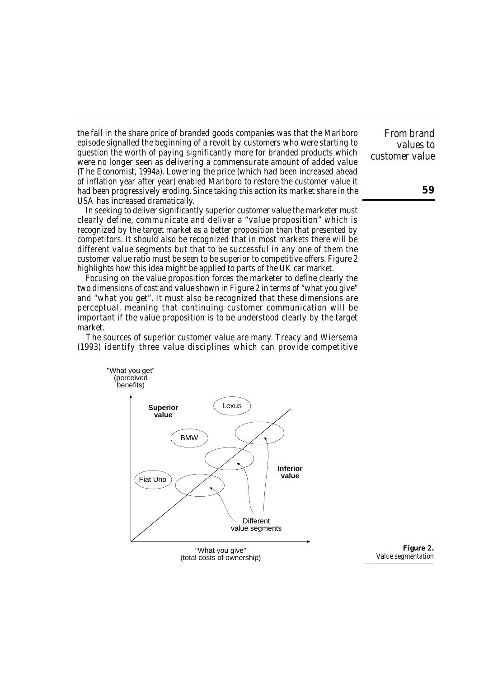the fall in the share price of branded goods companies was that the Marlboro episode signalled the beginning of a revolt by customers who were starting to question the worth of paying significantly more for branded products which were no longer seen as delivering a commensurate amount of added value (*The Economist*, 1994a). Lowering the price (which had been increased ahead of inflation year after year) enabled Marlboro to restore the customer value it had been progressively eroding. Since taking this action its market share in the USA has increased dramatically.

In seeking to deliver significantly superior customer value the marketer must clearly define, communicate and deliver a "value proposition" which is recognized by the target market as a better proposition than that presented by competitors. It should also be recognized that in most markets there will be different value segments but that to be successful in any one of them the customer value ratio must be seen to be superior to competitive offers. Figure 2 highlights how this idea might be applied to parts of the UK car market.

Focusing on the value proposition forces the marketer to define clearly the two dimensions of cost and value shown in Figure 2 in terms of "what you give" and "what you get". It must also be recognized that these dimensions are perceptual, meaning that continuing customer communication will be important if the value proposition is to be understood clearly by the target market.

The sources of superior customer value are many. Treacy and Wiersema (1993) identify three value disciplines which can provide competitive



"What you give" (total costs of ownership)

**Figure 2.** Value segmentation

From brand values to customer value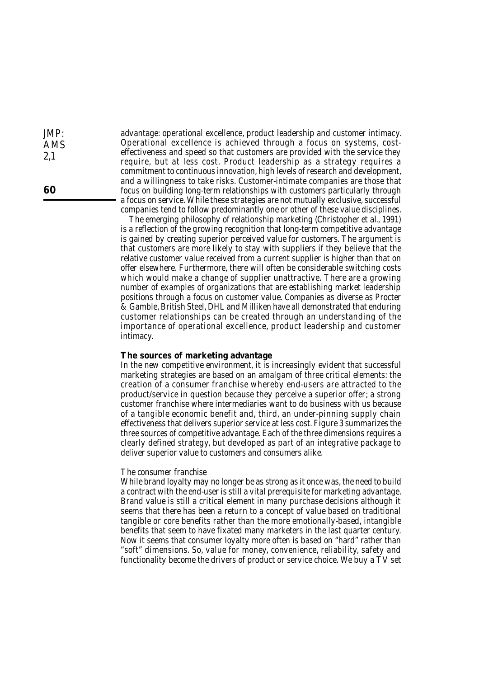JMP: AMS 2,1

**60**

advantage: operational excellence, product leadership and customer intimacy. Operational excellence is achieved through a focus on systems, costeffectiveness and speed so that customers are provided with the service they require, but at less cost. Product leadership as a strategy requires a commitment to continuous innovation, high levels of research and development, and a willingness to take risks. Customer-intimate companies are those that focus on building long-term relationships with customers particularly through a focus on service. While these strategies are not mutually exclusive, successful companies tend to follow predominantly one or other of these value disciplines.

The emerging philosophy of relationship marketing (Christopher *et al*., 1991) is a reflection of the growing recognition that long-term competitive advantage is gained by creating superior perceived value for customers. The argument is that customers are more likely to stay with suppliers if they believe that the relative customer value received from a current supplier is higher than that on offer elsewhere. Furthermore, there will often be considerable switching costs which would make a change of supplier unattractive. There are a growing number of examples of organizations that are establishing market leadership positions through a focus on customer value. Companies as diverse as Procter & Gamble, British Steel, DHL and Milliken have all demonstrated that enduring customer relationships can be created through an understanding of the importance of operational excellence, product leadership and customer intimacy.

## **The sources of marketing advantage**

In the new competitive environment, it is increasingly evident that successful marketing strategies are based on an amalgam of three critical elements: the creation of a consumer franchise whereby end-users are attracted to the product/service in question because they perceive a superior offer; a strong customer franchise where intermediaries want to do business with us because of a tangible economic benefit and, third, an under-pinning supply chain effectiveness that delivers superior service at less cost. Figure 3 summarizes the three sources of competitive advantage. Each of the three dimensions requires a clearly defined strategy, but developed as part of an integrative package to deliver superior value to customers and consumers alike.

#### *The consumer franchise*

While brand loyalty may no longer be as strong as it once was, the need to build a contract with the end-user is still a vital prerequisite for marketing advantage. Brand value is still a critical element in many purchase decisions although it seems that there has been a return to a concept of value based on traditional tangible or core benefits rather than the more emotionally-based, intangible benefits that seem to have fixated many marketers in the last quarter century. Now it seems that consumer loyalty more often is based on "hard" rather than "soft" dimensions. So, value for money, convenience, reliability, safety and functionality become the drivers of product or service choice. We buy a TV set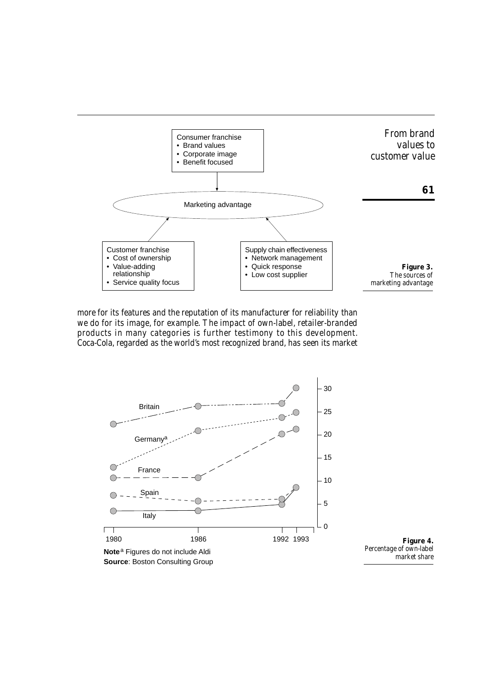

more for its features and the reputation of its manufacturer for reliability than we do for its image, for example. The impact of own-label, retailer-branded products in many categories is further testimony to this development. Coca-Cola, regarded as the world's most recognized brand, has seen its market



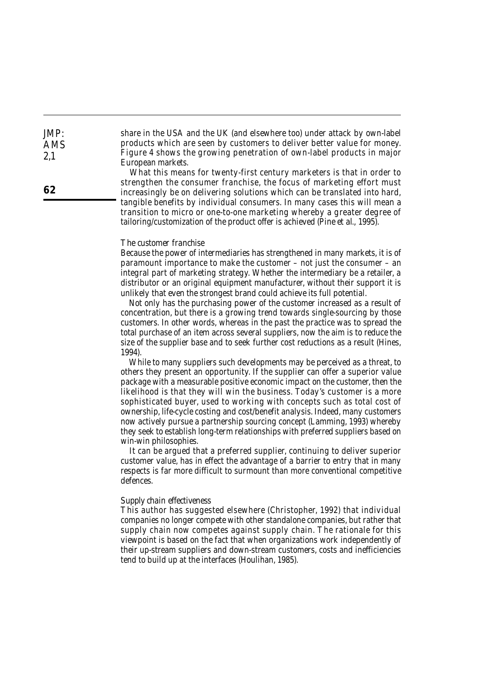share in the USA and the UK (and elsewhere too) under attack by own-label products which are seen by customers to deliver better value for money. Figure 4 shows the growing penetration of own-label products in major European markets.

What this means for twenty-first century marketers is that in order to strengthen the consumer franchise, the focus of marketing effort must increasingly be on delivering solutions which can be translated into hard, tangible benefits by individual consumers. In many cases this will mean a transition to micro or one-to-one marketing whereby a greater degree of tailoring/customization of the product offer is achieved (Pine *et al.,* 1995).

# *The customer franchise*

Because the power of intermediaries has strengthened in many markets, it is of paramount importance to make the customer – not just the consumer – an integral part of marketing strategy. Whether the intermediary be a retailer, a distributor or an original equipment manufacturer, without their support it is unlikely that even the strongest brand could achieve its full potential.

Not only has the purchasing power of the customer increased as a result of concentration, but there is a growing trend towards single-sourcing by those customers. In other words, whereas in the past the practice was to spread the total purchase of an item across several suppliers, now the aim is to reduce the size of the supplier base and to seek further cost reductions as a result (Hines, 1994).

While to many suppliers such developments may be perceived as a threat, to others they present an opportunity. If the supplier can offer a superior value package with a measurable positive economic impact on the customer, then the likelihood is that they will win the business. Today's customer is a more sophisticated buyer, used to working with concepts such as total cost of ownership, life-cycle costing and cost/benefit analysis. Indeed, many customers now actively pursue a partnership sourcing concept (Lamming, 1993) whereby they seek to establish long-term relationships with preferred suppliers based on win-win philosophies.

It can be argued that a preferred supplier, continuing to deliver superior customer value, has in effect the advantage of a barrier to entry that in many respects is far more difficult to surmount than more conventional competitive defences.

## *Supply chain effectiveness*

This author has suggested elsewhere (Christopher, 1992) that individual companies no longer compete with other standalone companies, but rather that supply chain now competes against supply chain. The rationale for this viewpoint is based on the fact that when organizations work independently of their up-stream suppliers and down-stream customers, costs and inefficiencies tend to build up at the interfaces (Houlihan, 1985).

**62**

JMP: AMS 2,1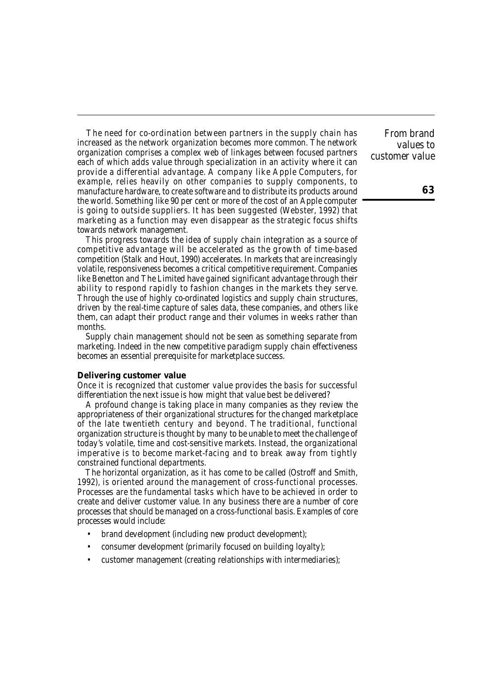The need for co-ordination between partners in the supply chain has increased as the network organization becomes more common. The network organization comprises a complex web of linkages between focused partners each of which adds value through specialization in an activity where it can provide a differential advantage. A company like Apple Computers, for example, relies heavily on other companies to supply components, to manufacture hardware, to create software and to distribute its products around the world. Something like 90 per cent or more of the cost of an Apple computer is going to outside suppliers. It has been suggested (Webster, 1992) that marketing as a function may even disappear as the strategic focus shifts towards network management.

This progress towards the idea of supply chain integration as a source of competitive advantage will be accelerated as the growth of time-based competition (Stalk and Hout, 1990) accelerates. In markets that are increasingly volatile, responsiveness becomes a critical competitive requirement. Companies like Benetton and The Limited have gained significant advantage through their ability to respond rapidly to fashion changes in the markets they serve. Through the use of highly co-ordinated logistics and supply chain structures, driven by the real-time capture of sales data, these companies, and others like them, can adapt their product range and their volumes in weeks rather than months.

Supply chain management should not be seen as something separate from marketing. Indeed in the new competitive paradigm supply chain effectiveness becomes an essential prerequisite for marketplace success.

## **Delivering customer value**

Once it is recognized that customer value provides the basis for successful differentiation the next issue is how might that value best be delivered?

A profound change is taking place in many companies as they review the appropriateness of their organizational structures for the changed marketplace of the late twentieth century and beyond. The traditional, functional organization structure is thought by many to be unable to meet the challenge of today's volatile, time and cost-sensitive markets. Instead, the organizational imperative is to become market-facing and to break away from tightly constrained functional departments.

The horizontal organization, as it has come to be called (Ostroff and Smith, 1992), is oriented around the management of cross-functional processes. Processes are the fundamental tasks which have to be achieved in order to create and deliver customer value. In any business there are a number of core processes that should be managed on a cross-functional basis. Examples of core processes would include:

- brand development (including new product development);
- consumer development (primarily focused on building loyalty);
- customer management (creating relationships with intermediaries);

From brand values to customer value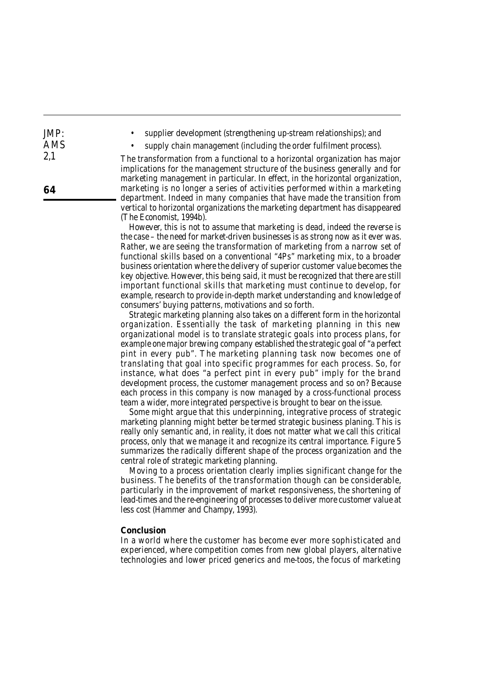- supplier development (strengthening up-stream relationships); and
- supply chain management (including the order fulfilment process).

The transformation from a functional to a horizontal organization has major implications for the management structure of the business generally and for marketing management in particular. In effect, in the horizontal organization, marketing is no longer a series of activities performed within a marketing department. Indeed in many companies that have made the transition from vertical to horizontal organizations the marketing department has disappeared (*The Economist,* 1994b).

However, this is not to assume that marketing is dead, indeed the reverse is the case – the need for market-driven businesses is as strong now as it ever was. Rather, we are seeing the transformation of marketing from a narrow set of functional skills based on a conventional "4Ps" marketing mix, to a broader business orientation where the delivery of superior customer value becomes the key objective. However, this being said, it must be recognized that there are still important functional skills that marketing must continue to develop, for example, research to provide in-depth market understanding and knowledge of consumers' buying patterns, motivations and so forth.

Strategic marketing planning also takes on a different form in the horizontal organization. Essentially the task of marketing planning in this new organizational model is to translate strategic goals into process plans, for example one major brewing company established the strategic goal of "a perfect pint in every pub". The marketing planning task now becomes one of translating that goal into specific programmes for each process. So, for instance, what does "a perfect pint in every pub" imply for the brand development process, the customer management process and so on? Because each process in this company is now managed by a cross-functional process team a wider, more integrated perspective is brought to bear on the issue.

Some might argue that this underpinning, integrative process of strategic marketing planning might better be termed strategic business planing. This is really only semantic and, in reality, it does not matter what we call this critical process, only that we manage it and recognize its central importance. Figure 5 summarizes the radically different shape of the process organization and the central role of strategic marketing planning.

Moving to a process orientation clearly implies significant change for the business. The benefits of the transformation though can be considerable, particularly in the improvement of market responsiveness, the shortening of lead-times and the re-engineering of processes to deliver more customer value at less cost (Hammer and Champy, 1993).

## **Conclusion**

In a world where the customer has become ever more sophisticated and experienced, where competition comes from new global players, alternative technologies and lower priced generics and me-toos, the focus of marketing

2,1

JMP: AMS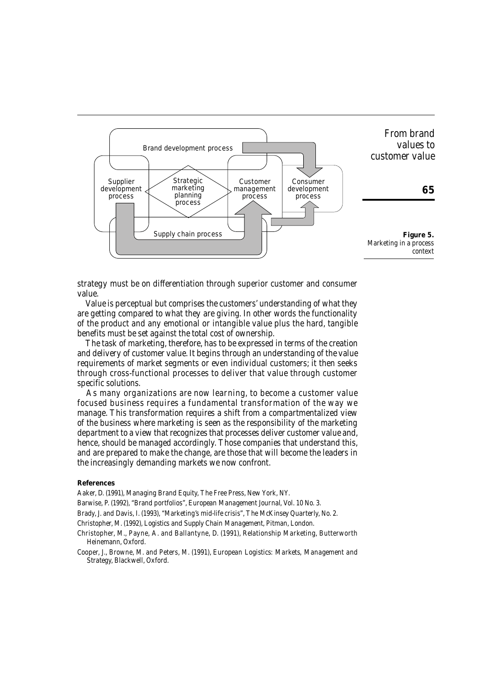

strategy must be on differentiation through superior customer and consumer value.

Value is perceptual but comprises the customers' understanding of what they are getting compared to what they are giving. In other words the functionality of the product and any emotional or intangible value plus the hard, tangible benefits must be set against the total cost of ownership.

The task of marketing, therefore, has to be expressed in terms of the creation and delivery of customer value. It begins through an understanding of the value requirements of market segments or even individual customers; it then seeks through cross-functional processes to deliver that value through customer specific solutions.

As many organizations are now learning, to become a customer value focused business requires a fundamental transformation of the way we manage. This transformation requires a shift from a compartmentalized view of the business where marketing is seen as the responsibility of the marketing department to a view that recognizes that processes deliver customer value and, hence, should be managed accordingly. Those companies that understand this, and are prepared to make the change, are those that will become the leaders in the increasingly demanding markets we now confront.

#### **References**

Aaker, D. (1991), *Managing Brand Equity*, The Free Press, New York, NY.

Barwise, P. (1992), "Brand portfolios", *European Management Journal*, Vol. 10 No. 3.

Brady, J. and Davis, I. (1993), "Marketing's mid-life crisis", *The McKinsey Quarterly*, No. 2.

Christopher, M. (1992), *Logistics and Supply Chain Management*, Pitman, London.

- Christopher, M., Payne, A. and Ballantyne, D. (1991), *Relationship Marketing*, Butterworth Heinemann, Oxford.
- Cooper, J., Browne, M. and Peters, M. (1991), *European Logistics: Markets, Management and Strategy*, Blackwell, Oxford.